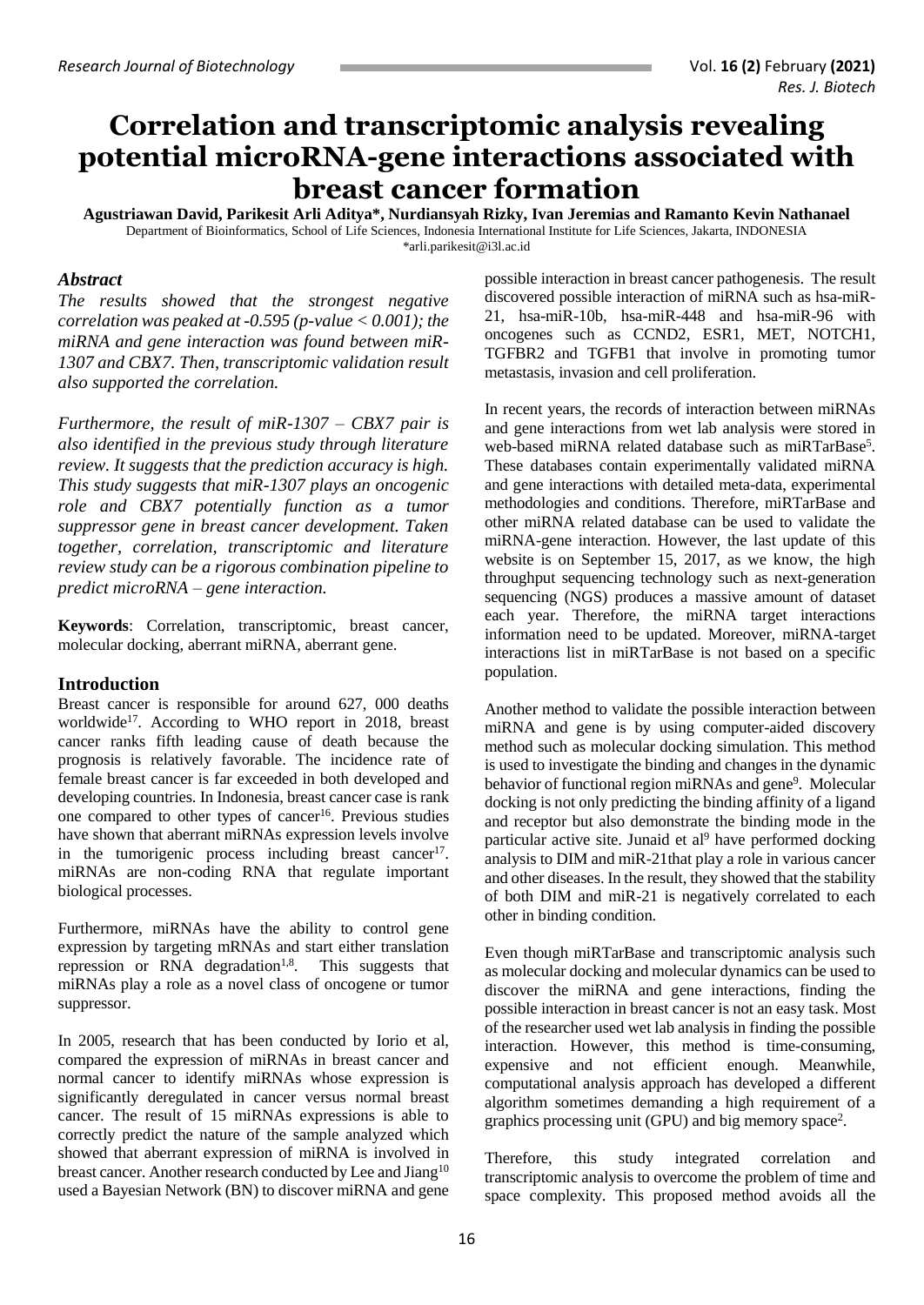# **Correlation and transcriptomic analysis revealing potential microRNA-gene interactions associated with breast cancer formation**

**Agustriawan David, Parikesit Arli Aditya\*, Nurdiansyah Rizky, Ivan Jeremias and Ramanto Kevin Nathanael** Department of Bioinformatics, School of Life Sciences, Indonesia International Institute for Life Sciences, Jakarta, INDONESIA \*arli.parikesit@i3l.ac.id

#### *Abstract*

*The results showed that the strongest negative correlation was peaked at -0.595 (p-value < 0.001); the miRNA and gene interaction was found between miR-1307 and CBX7. Then, transcriptomic validation result also supported the correlation.* 

*Furthermore, the result of miR-1307 – CBX7 pair is also identified in the previous study through literature review. It suggests that the prediction accuracy is high. This study suggests that miR-1307 plays an oncogenic role and CBX7 potentially function as a tumor suppressor gene in breast cancer development. Taken together, correlation, transcriptomic and literature review study can be a rigorous combination pipeline to predict microRNA – gene interaction.* 

**Keywords**: Correlation, transcriptomic, breast cancer, molecular docking, aberrant miRNA, aberrant gene.

### **Introduction**

Breast cancer is responsible for around 627, 000 deaths worldwide<sup>17</sup>. According to WHO report in 2018, breast cancer ranks fifth leading cause of death because the prognosis is relatively favorable. The incidence rate of female breast cancer is far exceeded in both developed and developing countries. In Indonesia, breast cancer case is rank one compared to other types of cancer<sup>16</sup>. Previous studies have shown that aberrant miRNAs expression levels involve in the tumorigenic process including breast cancer<sup>17</sup>. miRNAs are non-coding RNA that regulate important biological processes.

Furthermore, miRNAs have the ability to control gene expression by targeting mRNAs and start either translation repression or RNA degradation<sup>1,8</sup>. This suggests that miRNAs play a role as a novel class of oncogene or tumor suppressor.

In 2005, research that has been conducted by Iorio et al, compared the expression of miRNAs in breast cancer and normal cancer to identify miRNAs whose expression is significantly deregulated in cancer versus normal breast cancer. The result of 15 miRNAs expressions is able to correctly predict the nature of the sample analyzed which showed that aberrant expression of miRNA is involved in breast cancer. Another research conducted by Lee and Jiang<sup>10</sup> used a Bayesian Network (BN) to discover miRNA and gene

possible interaction in breast cancer pathogenesis. The result discovered possible interaction of miRNA such as hsa-miR-21, hsa-miR-10b, hsa-miR-448 and hsa-miR-96 with oncogenes such as CCND2, ESR1, MET, NOTCH1, TGFBR2 and TGFB1 that involve in promoting tumor metastasis, invasion and cell proliferation.

In recent years, the records of interaction between miRNAs and gene interactions from wet lab analysis were stored in web-based miRNA related database such as miRTarBase<sup>5</sup>. These databases contain experimentally validated miRNA and gene interactions with detailed meta-data, experimental methodologies and conditions. Therefore, miRTarBase and other miRNA related database can be used to validate the miRNA-gene interaction. However, the last update of this website is on September 15, 2017, as we know, the high throughput sequencing technology such as next-generation sequencing (NGS) produces a massive amount of dataset each year. Therefore, the miRNA target interactions information need to be updated. Moreover, miRNA-target interactions list in miRTarBase is not based on a specific population.

Another method to validate the possible interaction between miRNA and gene is by using computer-aided discovery method such as molecular docking simulation. This method is used to investigate the binding and changes in the dynamic behavior of functional region miRNAs and gene<sup>9</sup>. Molecular docking is not only predicting the binding affinity of a ligand and receptor but also demonstrate the binding mode in the particular active site. Junaid et  $al<sup>9</sup>$  have performed docking analysis to DIM and miR-21that play a role in various cancer and other diseases. In the result, they showed that the stability of both DIM and miR-21 is negatively correlated to each other in binding condition.

Even though miRTarBase and transcriptomic analysis such as molecular docking and molecular dynamics can be used to discover the miRNA and gene interactions, finding the possible interaction in breast cancer is not an easy task. Most of the researcher used wet lab analysis in finding the possible interaction. However, this method is time-consuming, expensive and not efficient enough. Meanwhile, computational analysis approach has developed a different algorithm sometimes demanding a high requirement of a graphics processing unit (GPU) and big memory space<sup>2</sup> .

Therefore, this study integrated correlation and transcriptomic analysis to overcome the problem of time and space complexity. This proposed method avoids all the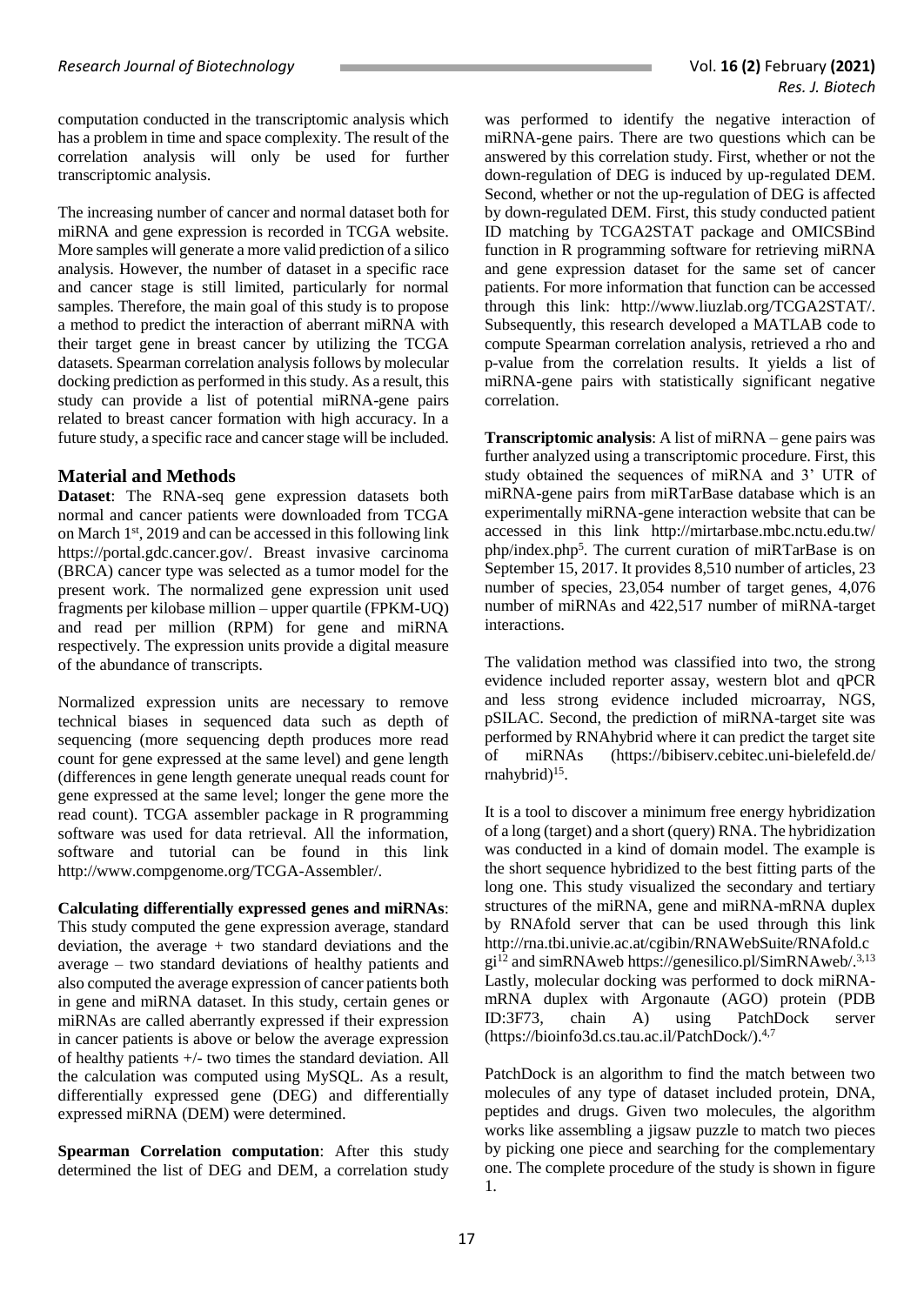computation conducted in the transcriptomic analysis which has a problem in time and space complexity. The result of the correlation analysis will only be used for further transcriptomic analysis.

The increasing number of cancer and normal dataset both for miRNA and gene expression is recorded in TCGA website. More samples will generate a more valid prediction of a silico analysis. However, the number of dataset in a specific race and cancer stage is still limited, particularly for normal samples. Therefore, the main goal of this study is to propose a method to predict the interaction of aberrant miRNA with their target gene in breast cancer by utilizing the TCGA datasets. Spearman correlation analysis follows by molecular docking prediction as performed in this study. As a result, this study can provide a list of potential miRNA-gene pairs related to breast cancer formation with high accuracy. In a future study, a specific race and cancer stage will be included.

## **Material and Methods**

**Dataset**: The RNA-seq gene expression datasets both normal and cancer patients were downloaded from TCGA on March 1st, 2019 and can be accessed in this following link [https://portal.gdc.cancer.gov/.](https://portal.gdc.cancer.gov/) Breast invasive carcinoma (BRCA) cancer type was selected as a tumor model for the present work. The normalized gene expression unit used fragments per kilobase million – upper quartile (FPKM-UQ) and read per million (RPM) for gene and miRNA respectively. The expression units provide a digital measure of the abundance of transcripts.

Normalized expression units are necessary to remove technical biases in sequenced data such as depth of sequencing (more sequencing depth produces more read count for gene expressed at the same level) and gene length (differences in gene length generate unequal reads count for gene expressed at the same level; longer the gene more the read count). TCGA assembler package in R programming software was used for data retrieval. All the information, software and tutorial can be found in this link [http://www.compgenome.org/TCGA-Assembler/.](http://www.compgenome.org/TCGA-Assembler/)

**Calculating differentially expressed genes and miRNAs**: This study computed the gene expression average, standard deviation, the average + two standard deviations and the average – two standard deviations of healthy patients and also computed the average expression of cancer patients both in gene and miRNA dataset. In this study, certain genes or miRNAs are called aberrantly expressed if their expression in cancer patients is above or below the average expression of healthy patients +/- two times the standard deviation. All the calculation was computed using MySQL. As a result, differentially expressed gene (DEG) and differentially expressed miRNA (DEM) were determined.

**Spearman Correlation computation**: After this study determined the list of DEG and DEM, a correlation study

was performed to identify the negative interaction of miRNA-gene pairs. There are two questions which can be answered by this correlation study. First, whether or not the down-regulation of DEG is induced by up-regulated DEM. Second, whether or not the up-regulation of DEG is affected by down-regulated DEM. First, this study conducted patient ID matching by TCGA2STAT package and OMICSBind function in R programming software for retrieving miRNA and gene expression dataset for the same set of cancer patients. For more information that function can be accessed through this link: [http://www.liuzlab.org/TCGA2STAT/.](http://www.liuzlab.org/TCGA2STAT/) Subsequently, this research developed a MATLAB code to compute Spearman correlation analysis, retrieved a rho and p-value from the correlation results. It yields a list of miRNA-gene pairs with statistically significant negative correlation.

**Transcriptomic analysis**: A list of miRNA – gene pairs was further analyzed using a transcriptomic procedure. First, this study obtained the sequences of miRNA and 3' UTR of miRNA-gene pairs from miRTarBase database which is an experimentally miRNA-gene interaction website that can be accessed in this link [http://mirtarbase.mbc.nctu.edu.tw/](http://mirtarbase.mbc.nctu.edu.tw/%20php/index.php5)  [php/index.php](http://mirtarbase.mbc.nctu.edu.tw/%20php/index.php5)<sup>5</sup> . The current curation of miRTarBase is on September 15, 2017. It provides 8,510 number of articles, 23 number of species, 23,054 number of target genes, 4,076 number of miRNAs and 422,517 number of miRNA-target interactions.

The validation method was classified into two, the strong evidence included reporter assay, western blot and qPCR and less strong evidence included microarray, NGS, pSILAC. Second, the prediction of miRNA-target site was performed by RNAhybrid where it can predict the target site of miRNAs [\(https://bibiserv.cebitec.uni-bielefeld.de/](https://bibiserv.cebitec.uni-bielefeld.de/%20rnahybrid)  [rnahybrid\)](https://bibiserv.cebitec.uni-bielefeld.de/%20rnahybrid)<sup>15</sup>.

It is a tool to discover a minimum free energy hybridization of a long (target) and a short (query) RNA. The hybridization was conducted in a kind of domain model. The example is the short sequence hybridized to the best fitting parts of the long one. This study visualized the secondary and tertiary structures of the miRNA, gene and miRNA-mRNA duplex by RNAfold server that can be used through this link [http://rna.tbi.univie.ac.at/cgibin/RNAWebSuite/RNAfold.c](http://rna.tbi.univie.ac.at/cgibin/RNAWebSuite/RNAfold.cgi) [gi](http://rna.tbi.univie.ac.at/cgibin/RNAWebSuite/RNAfold.cgi)<sup>12</sup> and simRNAwe[b https://genesilico.pl/SimRNAweb/.](https://genesilico.pl/SimRNAweb/)<sup>3,13</sup> Lastly, molecular docking was performed to dock miRNAmRNA duplex with Argonaute (AGO) protein (PDB ID:3F73, chain A) using PatchDock server [\(https://bioinfo3d.cs.tau.ac.il/PatchDock/\)](https://bioinfo3d.cs.tau.ac.il/PatchDock/). 4,7

PatchDock is an algorithm to find the match between two molecules of any type of dataset included protein, DNA, peptides and drugs. Given two molecules, the algorithm works like assembling a jigsaw puzzle to match two pieces by picking one piece and searching for the complementary one. The complete procedure of the study is shown in figure 1.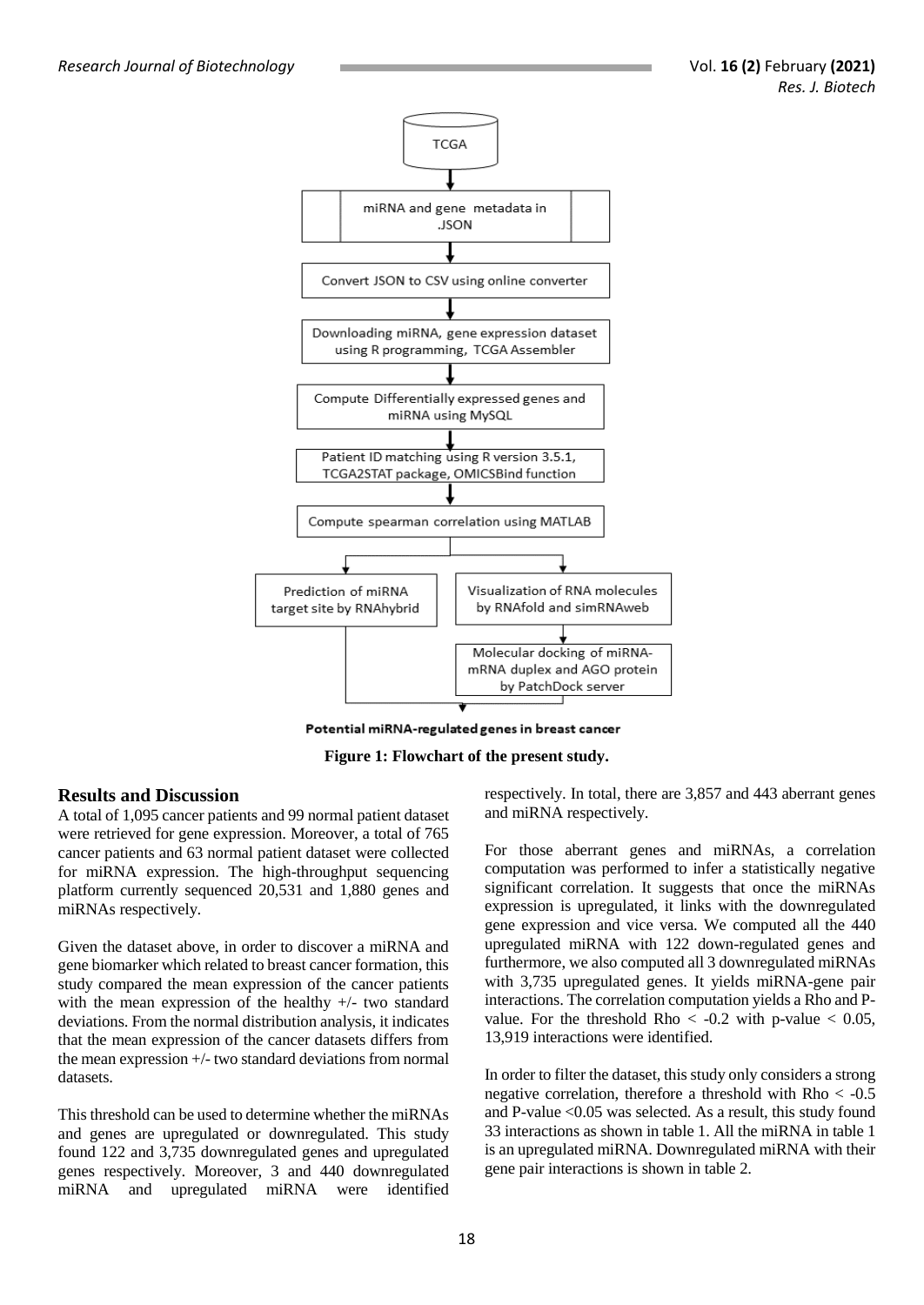*Research Journal of Biotechnology* Vol. **16 (2)** February **(2021)**



Potential miRNA-regulated genes in breast cancer



#### **Results and Discussion**

A total of 1,095 cancer patients and 99 normal patient dataset were retrieved for gene expression. Moreover, a total of 765 cancer patients and 63 normal patient dataset were collected for miRNA expression. The high-throughput sequencing platform currently sequenced 20,531 and 1,880 genes and miRNAs respectively.

Given the dataset above, in order to discover a miRNA and gene biomarker which related to breast cancer formation, this study compared the mean expression of the cancer patients with the mean expression of the healthy +/- two standard deviations. From the normal distribution analysis, it indicates that the mean expression of the cancer datasets differs from the mean expression +/- two standard deviations from normal datasets.

This threshold can be used to determine whether the miRNAs and genes are upregulated or downregulated. This study found 122 and 3,735 downregulated genes and upregulated genes respectively. Moreover, 3 and 440 downregulated miRNA and upregulated miRNA were identified

respectively. In total, there are 3,857 and 443 aberrant genes and miRNA respectively.

For those aberrant genes and miRNAs, a correlation computation was performed to infer a statistically negative significant correlation. It suggests that once the miRNAs expression is upregulated, it links with the downregulated gene expression and vice versa. We computed all the 440 upregulated miRNA with 122 down-regulated genes and furthermore, we also computed all 3 downregulated miRNAs with 3,735 upregulated genes. It yields miRNA-gene pair interactions. The correlation computation yields a Rho and Pvalue. For the threshold Rho  $< -0.2$  with p-value  $< 0.05$ , 13,919 interactions were identified.

In order to filter the dataset, this study only considers a strong negative correlation, therefore a threshold with  $Rho < -0.5$ and P-value <0.05 was selected. As a result, this study found 33 interactions as shown in table 1. All the miRNA in table 1 is an upregulated miRNA. Downregulated miRNA with their gene pair interactions is shown in table 2.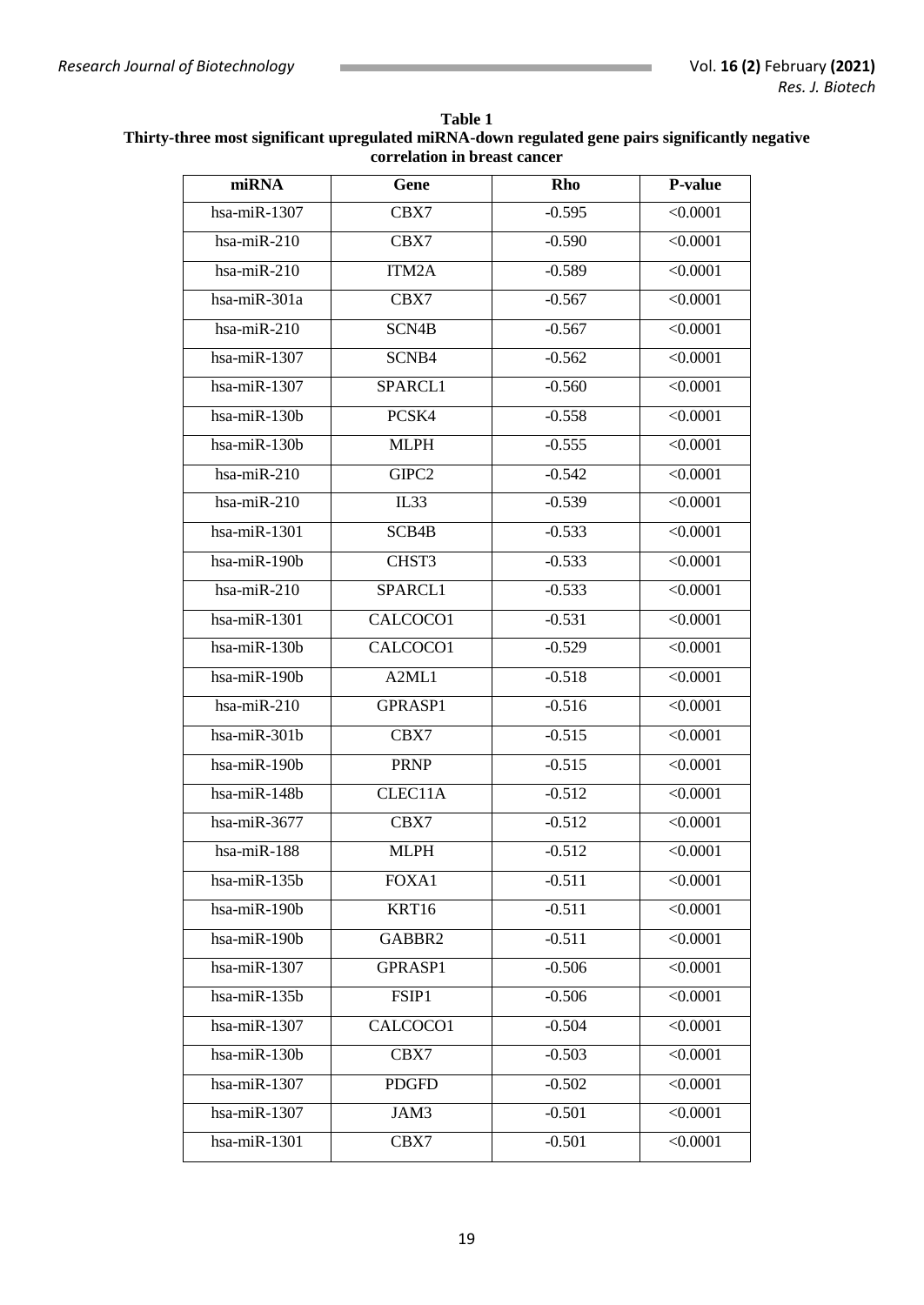| Table 1                                                                                          |  |  |  |
|--------------------------------------------------------------------------------------------------|--|--|--|
| Thirty-three most significant upregulated miRNA-down regulated gene pairs significantly negative |  |  |  |
| correlation in breast cancer                                                                     |  |  |  |

| miRNA                      | Gene                     | Rho      | P-value  |
|----------------------------|--------------------------|----------|----------|
| hsa-mi $R-1307$            | CBX7                     | $-0.595$ | < 0.0001 |
| $hsa$ -mi $R-210$          | CBX7                     | $-0.590$ | < 0.0001 |
| $hsa$ -mi $R-210$          | ITM2A                    | $-0.589$ | < 0.0001 |
| hsa-miR-301a               | CBX7                     | $-0.567$ | < 0.0001 |
| $hsa-miR-210$              | SCN <sub>4</sub> B       | $-0.567$ | < 0.0001 |
| hsa-mi $R-1307$            | SCNB4                    | $-0.562$ | < 0.0001 |
| hsa-miR-1307               | SPARCL1                  | $-0.560$ | < 0.0001 |
| $hsa-miR-130b$             | PCSK4                    | $-0.558$ | < 0.0001 |
| hsa-miR-130b               | <b>MLPH</b>              | $-0.555$ | < 0.0001 |
| $hsa$ -mi $R-210$          | GIPC2                    | $-0.542$ | < 0.0001 |
| $hsa$ -mi $R-210$          | IL33                     | $-0.539$ | < 0.0001 |
| hsa-mi $R-1301$            | SCB <sub>4</sub> B       | $-0.533$ | < 0.0001 |
| $hsa-miR-190b$             | CHST3                    | $-0.533$ | < 0.0001 |
| $hsa-miR-210$              | SPARCL1                  | $-0.533$ | < 0.0001 |
| $hsa$ -mi $R-1301$         | CALCOCO1                 | $-0.531$ | < 0.0001 |
| hsa-miR-130b               | CALCOCO1                 | $-0.529$ | < 0.0001 |
| hsa-miR-190b               | A2ML1                    | $-0.518$ | < 0.0001 |
| $hsa-miR-210$              | GPRASP1                  | $-0.516$ | < 0.0001 |
| hsa-mi $\overline{R-301b}$ | CBX7                     | $-0.515$ | < 0.0001 |
| $hsa-miR-190b$             | <b>PRNP</b>              | $-0.515$ | < 0.0001 |
| hsa-miR-148b               | CLEC11A                  | $-0.512$ | < 0.0001 |
| $hsa-miR-3677$             | CBX7                     | $-0.512$ | < 0.0001 |
| hsa-miR-188                | <b>MLPH</b>              | $-0.512$ | < 0.0001 |
| hsa-miR-135b               | FOXA1                    | $-0.511$ | < 0.0001 |
| $hsa-miR-190b$             | KRT16                    | $-0.511$ | < 0.0001 |
| hsa-miR-190b               | GABBR2                   | $-0.511$ | < 0.0001 |
| hsa-miR-1307               | GPRASP1                  | $-0.506$ | < 0.0001 |
| hsa-miR-135b               | FSIP1                    | $-0.506$ | < 0.0001 |
| hsa-mi $R-1307$            | CALCOCO1                 | $-0.504$ | < 0.0001 |
| hsa-miR-130b               | CBX7                     | $-0.503$ | < 0.0001 |
| hsa-miR-1307               | <b>PDGFD</b><br>$-0.502$ |          | < 0.0001 |
| hsa-miR-1307               | JAM3                     | $-0.501$ | < 0.0001 |
| hsa-miR-1301               | CBX7                     | $-0.501$ | < 0.0001 |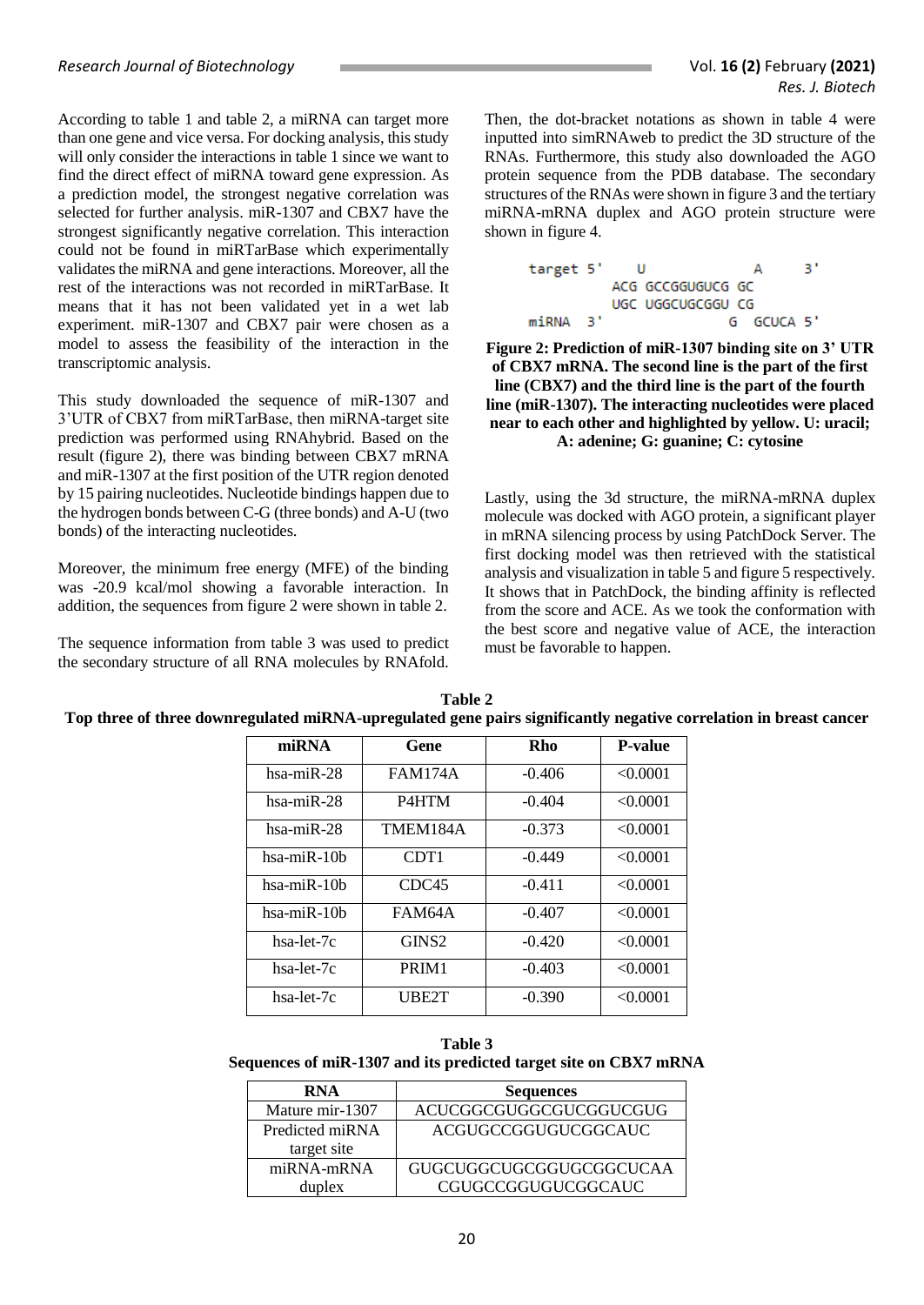According to table 1 and table 2, a miRNA can target more than one gene and vice versa. For docking analysis, this study will only consider the interactions in table 1 since we want to find the direct effect of miRNA toward gene expression. As a prediction model, the strongest negative correlation was selected for further analysis. miR-1307 and CBX7 have the strongest significantly negative correlation. This interaction could not be found in miRTarBase which experimentally validates the miRNA and gene interactions. Moreover, all the rest of the interactions was not recorded in miRTarBase. It means that it has not been validated yet in a wet lab experiment. miR-1307 and CBX7 pair were chosen as a model to assess the feasibility of the interaction in the transcriptomic analysis.

This study downloaded the sequence of miR-1307 and 3'UTR of CBX7 from miRTarBase, then miRNA-target site prediction was performed using RNAhybrid. Based on the result (figure 2), there was binding between CBX7 mRNA and miR-1307 at the first position of the UTR region denoted by 15 pairing nucleotides. Nucleotide bindings happen due to the hydrogen bonds between C-G (three bonds) and A-U (two bonds) of the interacting nucleotides.

Moreover, the minimum free energy (MFE) of the binding was -20.9 kcal/mol showing a favorable interaction. In addition, the sequences from figure 2 were shown in table 2.

The sequence information from table 3 was used to predict the secondary structure of all RNA molecules by RNAfold.

Then, the dot-bracket notations as shown in table 4 were inputted into simRNAweb to predict the 3D structure of the RNAs. Furthermore, this study also downloaded the AGO protein sequence from the PDB database. The secondary structures of the RNAs were shown in figure 3 and the tertiary miRNA-mRNA duplex and AGO protein structure were shown in figure 4.

> з, target 5' U А ACG GCCGGUGUCG GC UGC UGGCUGCGGU CG G GCUCA 5' miRNA 31

**Figure 2: Prediction of miR-1307 binding site on 3' UTR of CBX7 mRNA. The second line is the part of the first line (CBX7) and the third line is the part of the fourth line (miR-1307). The interacting nucleotides were placed near to each other and highlighted by yellow. U: uracil; A: adenine; G: guanine; C: cytosine**

Lastly, using the 3d structure, the miRNA-mRNA duplex molecule was docked with AGO protein, a significant player in mRNA silencing process by using PatchDock Server. The first docking model was then retrieved with the statistical analysis and visualization in table 5 and figure 5 respectively. It shows that in PatchDock, the binding affinity is reflected from the score and ACE. As we took the conformation with the best score and negative value of ACE, the interaction must be favorable to happen.

| miRNA             | Gene               | Rho      | <b>P-value</b> |
|-------------------|--------------------|----------|----------------|
| $hsa$ -mi $R-28$  | <b>FAM174A</b>     | $-0.406$ | < 0.0001       |
| hsa-miR-28        | P <sub>4</sub> HTM | $-0.404$ | < 0.0001       |
| hsa-miR-28        | TMEM184A           | $-0.373$ | < 0.0001       |
| $hsa$ -mi $R-10b$ | CDT <sub>1</sub>   | $-0.449$ | < 0.0001       |
| $hsa$ -mi $R-10b$ | CDC <sub>45</sub>  | $-0.411$ | < 0.0001       |
| $hsa$ -mi $R-10b$ | FAM64A             | $-0.407$ | < 0.0001       |
| $hsa-let-7c$      | GINS <sub>2</sub>  | $-0.420$ | < 0.0001       |
| $hsa-let-7c$      | PR <sub>IM1</sub>  | $-0.403$ | < 0.0001       |
| hsa-let-7c        | UBE2T              | $-0.390$ | < 0.0001       |

**Table 2 Top three of three downregulated miRNA-upregulated gene pairs significantly negative correlation in breast cancer**

**Table 3 Sequences of miR-1307 and its predicted target site on CBX7 mRNA**

| <b>RNA</b>                                | <b>Sequences</b>        |  |  |
|-------------------------------------------|-------------------------|--|--|
| Mature mir-1307                           | ACUCGGCGUGGCGUCGGUCGUG  |  |  |
| Predicted miRNA<br>target site            | ACGUGCCGGUGUCGGCAUC     |  |  |
| $m$ $\overline{RN}$ A-m $\overline{RN}$ A | GUGCUGGCUGCGGUGCGGCUCAA |  |  |
| duplex                                    | CGUGCCGGUGUCGGCAUC      |  |  |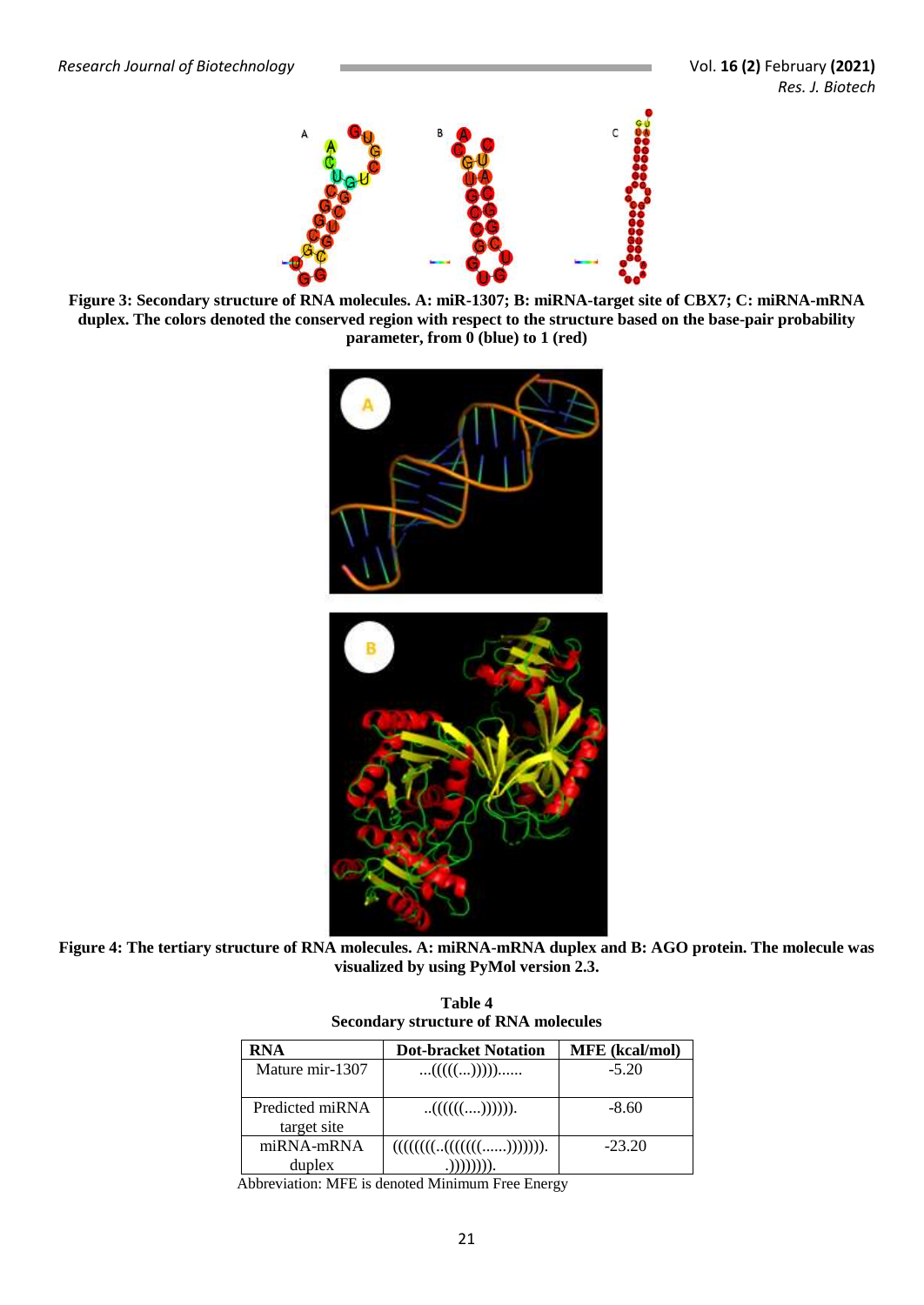

**Figure 3: Secondary structure of RNA molecules. A: miR-1307; B: miRNA-target site of CBX7; C: miRNA-mRNA**  duplex. The colors denoted the conserved region with respect to the structure based on the base-pair probability **parameter, from 0 (blue) to 1 (red)**



**Figure 4: The tertiary structure of RNA molecules. A: miRNA-mRNA duplex and B: AGO protein. The molecule was visualized by using PyMol version 2.3.**

**Table 4 Secondary structure of RNA molecules**

| <b>RNA</b>                                | <b>Dot-bracket Notation</b> | <b>MFE</b> (kcal/mol) |
|-------------------------------------------|-----------------------------|-----------------------|
| Mature mir-1307                           | (((())))                    | $-5.20$               |
| Predicted miRNA<br>target site            | $(((((\ldots)))))).$        | $-8.60$               |
| $m$ $\overline{RN}$ A-m $\overline{RN}$ A | (( (( (( (( (( )))))))).    | $-23.20$              |
| duplex                                    |                             |                       |

Abbreviation: MFE is denoted Minimum Free Energy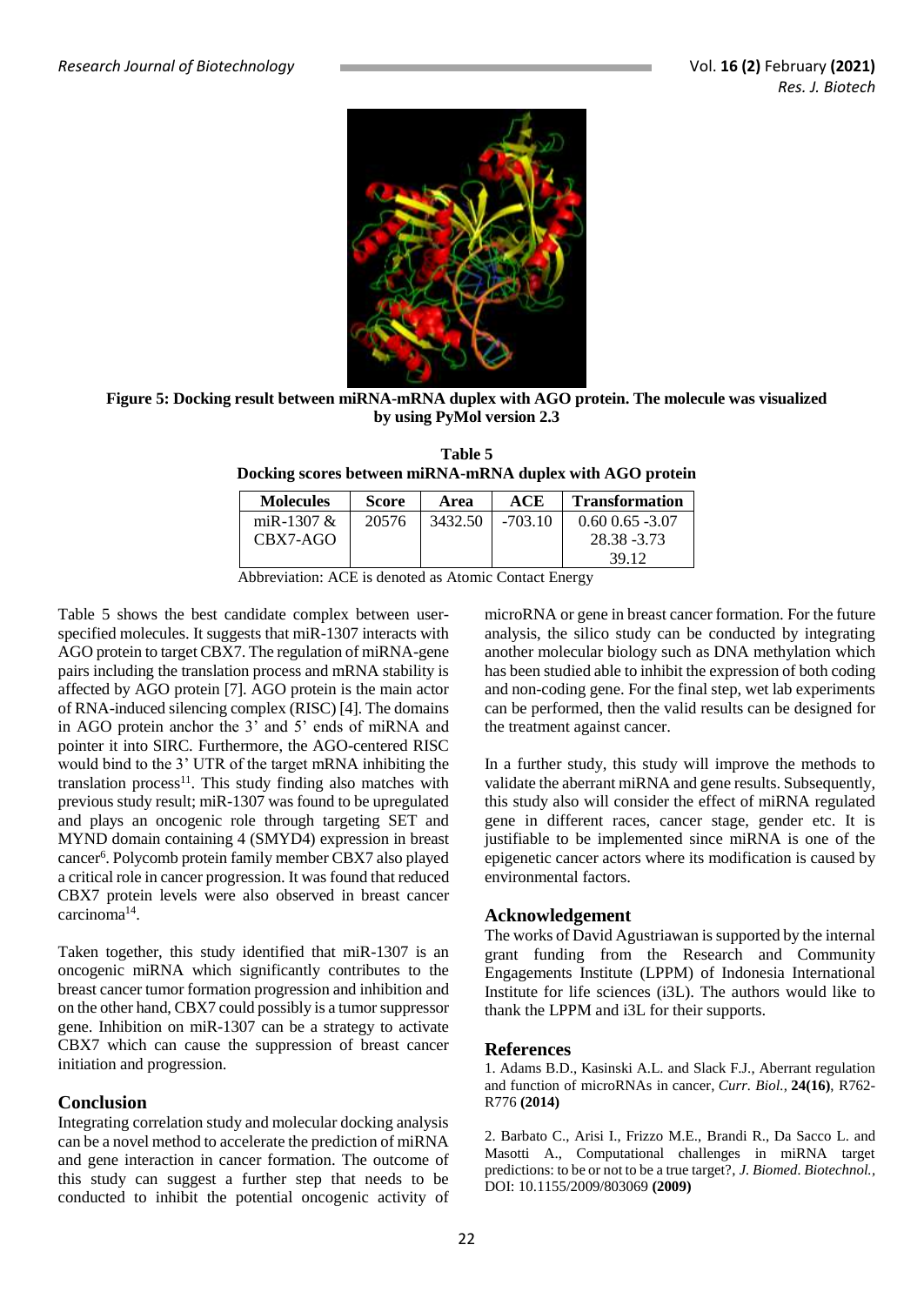

**Figure 5: Docking result between miRNA-mRNA duplex with AGO protein. The molecule was visualized by using PyMol version 2.3**

**Table 5 Docking scores between miRNA-mRNA duplex with AGO protein**

| <b>Molecules</b> | <b>Score</b> | Area    | ACE       | <b>Transformation</b> |
|------------------|--------------|---------|-----------|-----------------------|
| miR-1307 $&$     | 20576        | 3432.50 | $-703.10$ | $0.60\,0.65\,$ -3.07  |
| CBX7-AGO         |              |         |           | 28.38 - 3.73          |
|                  |              |         |           | 39.12                 |

Abbreviation: ACE is denoted as Atomic Contact Energy

Table 5 shows the best candidate complex between userspecified molecules. It suggests that miR-1307 interacts with AGO protein to target CBX7. The regulation of miRNA-gene pairs including the translation process and mRNA stability is affected by AGO protein [7]. AGO protein is the main actor of RNA-induced silencing complex (RISC) [4]. The domains in AGO protein anchor the 3' and 5' ends of miRNA and pointer it into SIRC. Furthermore, the AGO-centered RISC would bind to the 3' UTR of the target mRNA inhibiting the translation process $11$ . This study finding also matches with previous study result; miR-1307 was found to be upregulated and plays an oncogenic role through targeting SET and MYND domain containing 4 (SMYD4) expression in breast cancer<sup>6</sup>. Polycomb protein family member CBX7 also played a critical role in cancer progression. It was found that reduced CBX7 protein levels were also observed in breast cancer carcinoma<sup>14</sup> .

Taken together, this study identified that miR-1307 is an oncogenic miRNA which significantly contributes to the breast cancer tumor formation progression and inhibition and on the other hand, CBX7 could possibly is a tumor suppressor gene. Inhibition on miR-1307 can be a strategy to activate CBX7 which can cause the suppression of breast cancer initiation and progression.

#### **Conclusion**

Integrating correlation study and molecular docking analysis can be a novel method to accelerate the prediction of miRNA and gene interaction in cancer formation. The outcome of this study can suggest a further step that needs to be conducted to inhibit the potential oncogenic activity of

microRNA or gene in breast cancer formation. For the future analysis, the silico study can be conducted by integrating another molecular biology such as DNA methylation which has been studied able to inhibit the expression of both coding and non-coding gene. For the final step, wet lab experiments can be performed, then the valid results can be designed for the treatment against cancer.

In a further study, this study will improve the methods to validate the aberrant miRNA and gene results. Subsequently, this study also will consider the effect of miRNA regulated gene in different races, cancer stage, gender etc. It is justifiable to be implemented since miRNA is one of the epigenetic cancer actors where its modification is caused by environmental factors.

#### **Acknowledgement**

The works of David Agustriawan is supported by the internal grant funding from the Research and Community Engagements Institute (LPPM) of Indonesia International Institute for life sciences (i3L). The authors would like to thank the LPPM and i3L for their supports.

#### **References**

1. Adams B.D., Kasinski A.L. and Slack F.J., Aberrant regulation and function of microRNAs in cancer, *Curr. Biol.*, **24(16)**, R762- R776 **(2014)**

2. Barbato C., Arisi I., Frizzo M.E., Brandi R., Da Sacco L. and Masotti A., Computational challenges in miRNA target predictions: to be or not to be a true target?, *J. Biomed. Biotechnol.,*  DOI: [10.1155/2009/803069](https://www.researchgate.net/deref/http%3A%2F%2Fdx.doi.org%2F10.1155%2F2009%2F803069) **(2009)**